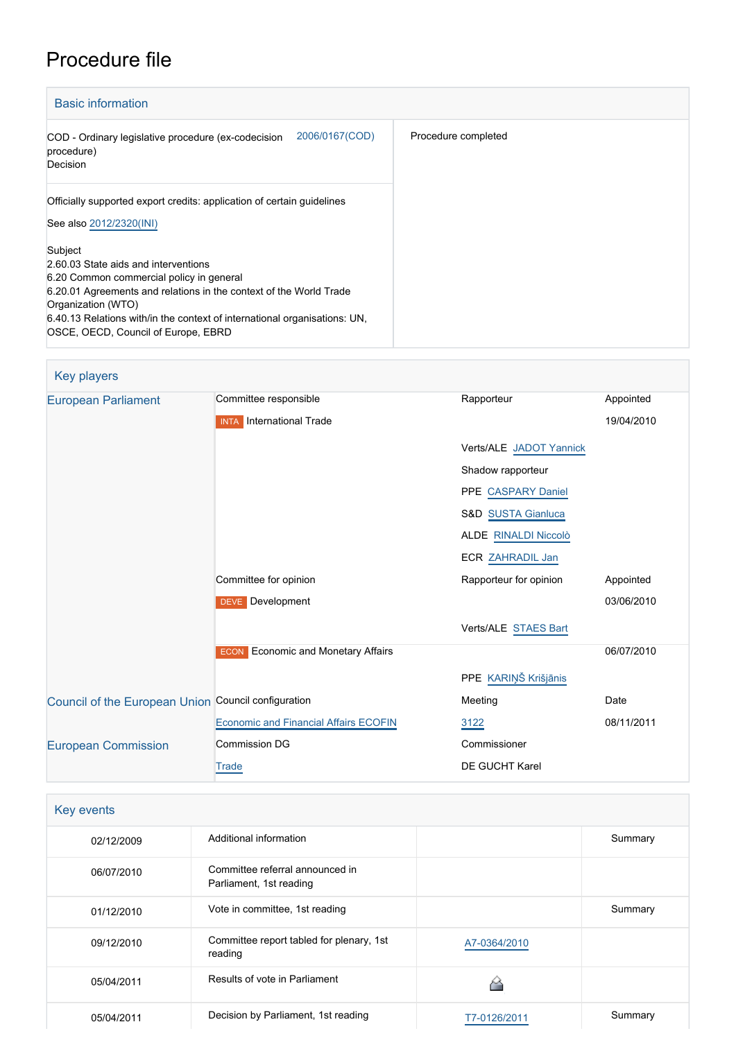# Procedure file

| <b>Basic information</b>                                                                                                                                                                                                                                                                                    |                     |
|-------------------------------------------------------------------------------------------------------------------------------------------------------------------------------------------------------------------------------------------------------------------------------------------------------------|---------------------|
| 2006/0167(COD)<br>COD - Ordinary legislative procedure (ex-codecision<br>procedure)<br>Decision                                                                                                                                                                                                             | Procedure completed |
| Officially supported export credits: application of certain guidelines<br>See also 2012/2320(INI)                                                                                                                                                                                                           |                     |
| Subject<br>2.60.03 State aids and interventions<br>6.20 Common commercial policy in general<br>6.20.01 Agreements and relations in the context of the World Trade<br>Organization (WTO)<br>6.40.13 Relations with/in the context of international organisations: UN,<br>OSCE, OECD, Council of Europe, EBRD |                     |

| Key players                                         |                                              |                         |            |
|-----------------------------------------------------|----------------------------------------------|-------------------------|------------|
| <b>European Parliament</b>                          | Committee responsible                        | Rapporteur              | Appointed  |
|                                                     | <b>INTA</b> International Trade              |                         | 19/04/2010 |
|                                                     |                                              | Verts/ALE JADOT Yannick |            |
|                                                     |                                              | Shadow rapporteur       |            |
|                                                     |                                              | PPE CASPARY Daniel      |            |
|                                                     |                                              | S&D SUSTA Gianluca      |            |
|                                                     |                                              | ALDE RINALDI Niccolò    |            |
|                                                     |                                              | ECR ZAHRADIL Jan        |            |
|                                                     | Committee for opinion                        | Rapporteur for opinion  | Appointed  |
|                                                     | DEVE Development                             |                         | 03/06/2010 |
|                                                     |                                              | Verts/ALE STAES Bart    |            |
|                                                     | <b>ECON</b> Economic and Monetary Affairs    |                         | 06/07/2010 |
|                                                     |                                              | PPE KARIŅŠ Krišjānis    |            |
| Council of the European Union Council configuration |                                              | Meeting                 | Date       |
|                                                     | <b>Economic and Financial Affairs ECOFIN</b> | 3122                    | 08/11/2011 |
| <b>European Commission</b>                          | <b>Commission DG</b>                         | Commissioner            |            |
|                                                     | Trade                                        | DE GUCHT Karel          |            |

| Key events |                                                            |              |         |
|------------|------------------------------------------------------------|--------------|---------|
| 02/12/2009 | Additional information                                     |              | Summary |
| 06/07/2010 | Committee referral announced in<br>Parliament, 1st reading |              |         |
| 01/12/2010 | Vote in committee, 1st reading                             |              | Summary |
| 09/12/2010 | Committee report tabled for plenary, 1st<br>reading        | A7-0364/2010 |         |
| 05/04/2011 | Results of vote in Parliament                              |              |         |
| 05/04/2011 | Decision by Parliament, 1st reading                        | T7-0126/2011 | Summary |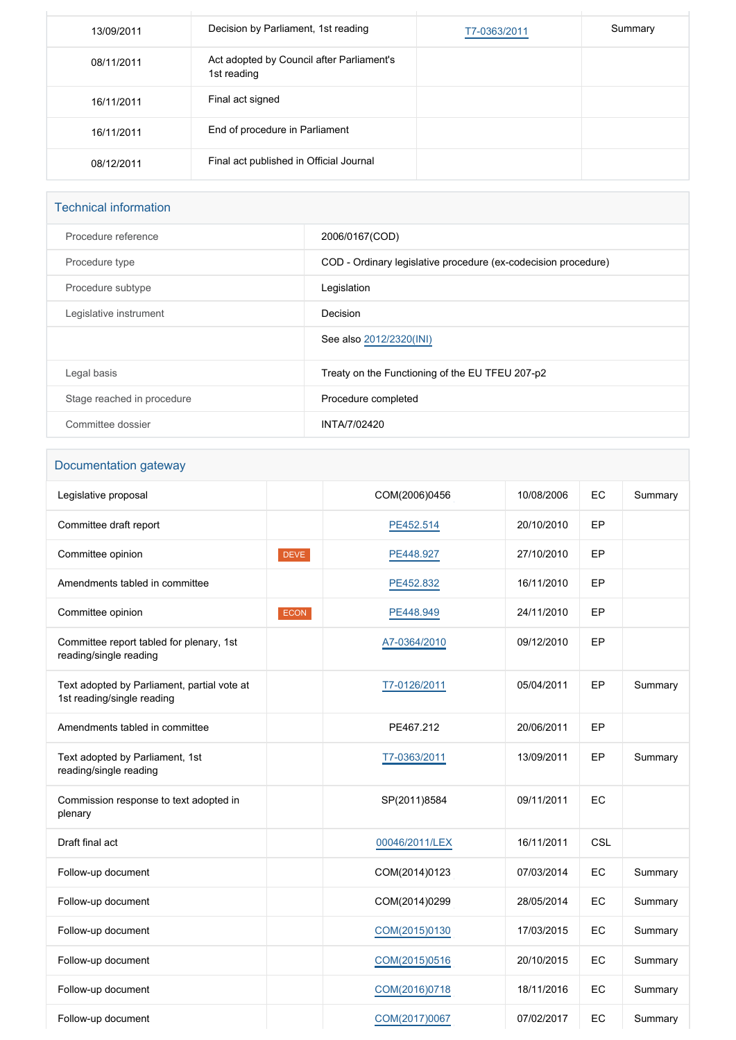| 13/09/2011 | Decision by Parliament, 1st reading                      | T7-0363/2011 | Summary |
|------------|----------------------------------------------------------|--------------|---------|
| 08/11/2011 | Act adopted by Council after Parliament's<br>1st reading |              |         |
| 16/11/2011 | Final act signed                                         |              |         |
| 16/11/2011 | End of procedure in Parliament                           |              |         |
| 08/12/2011 | Final act published in Official Journal                  |              |         |

# Technical information

| Procedure reference        | 2006/0167(COD)                                                 |
|----------------------------|----------------------------------------------------------------|
| Procedure type             | COD - Ordinary legislative procedure (ex-codecision procedure) |
| Procedure subtype          | Legislation                                                    |
| Legislative instrument     | Decision                                                       |
|                            | See also 2012/2320(INI)                                        |
| Legal basis                | Treaty on the Functioning of the EU TFEU 207-p2                |
| Stage reached in procedure | Procedure completed                                            |
| Committee dossier          | INTA/7/02420                                                   |

# Documentation gateway

| Legislative proposal                                                      |             | COM(2006)0456  | 10/08/2006 | EC         | Summary |
|---------------------------------------------------------------------------|-------------|----------------|------------|------------|---------|
| Committee draft report                                                    |             | PE452.514      | 20/10/2010 | EP         |         |
| Committee opinion                                                         | <b>DEVE</b> | PE448.927      | 27/10/2010 | EP         |         |
| Amendments tabled in committee                                            |             | PE452.832      | 16/11/2010 | EP         |         |
| Committee opinion                                                         | <b>ECON</b> | PE448.949      | 24/11/2010 | EP         |         |
| Committee report tabled for plenary, 1st<br>reading/single reading        |             | A7-0364/2010   | 09/12/2010 | EP         |         |
| Text adopted by Parliament, partial vote at<br>1st reading/single reading |             | T7-0126/2011   | 05/04/2011 | EP         | Summary |
| Amendments tabled in committee                                            |             | PE467.212      | 20/06/2011 | EP         |         |
| Text adopted by Parliament, 1st<br>reading/single reading                 |             | T7-0363/2011   | 13/09/2011 | EP         | Summary |
| Commission response to text adopted in<br>plenary                         |             | SP(2011)8584   | 09/11/2011 | EC         |         |
| Draft final act                                                           |             | 00046/2011/LEX | 16/11/2011 | <b>CSL</b> |         |
| Follow-up document                                                        |             | COM(2014)0123  | 07/03/2014 | EC         | Summary |
| Follow-up document                                                        |             | COM(2014)0299  | 28/05/2014 | EC         | Summary |
| Follow-up document                                                        |             | COM(2015)0130  | 17/03/2015 | EC         | Summary |
| Follow-up document                                                        |             | COM(2015)0516  | 20/10/2015 | EC         | Summary |
| Follow-up document                                                        |             | COM(2016)0718  | 18/11/2016 | EC         | Summary |
| Follow-up document                                                        |             | COM(2017)0067  | 07/02/2017 | EC         | Summary |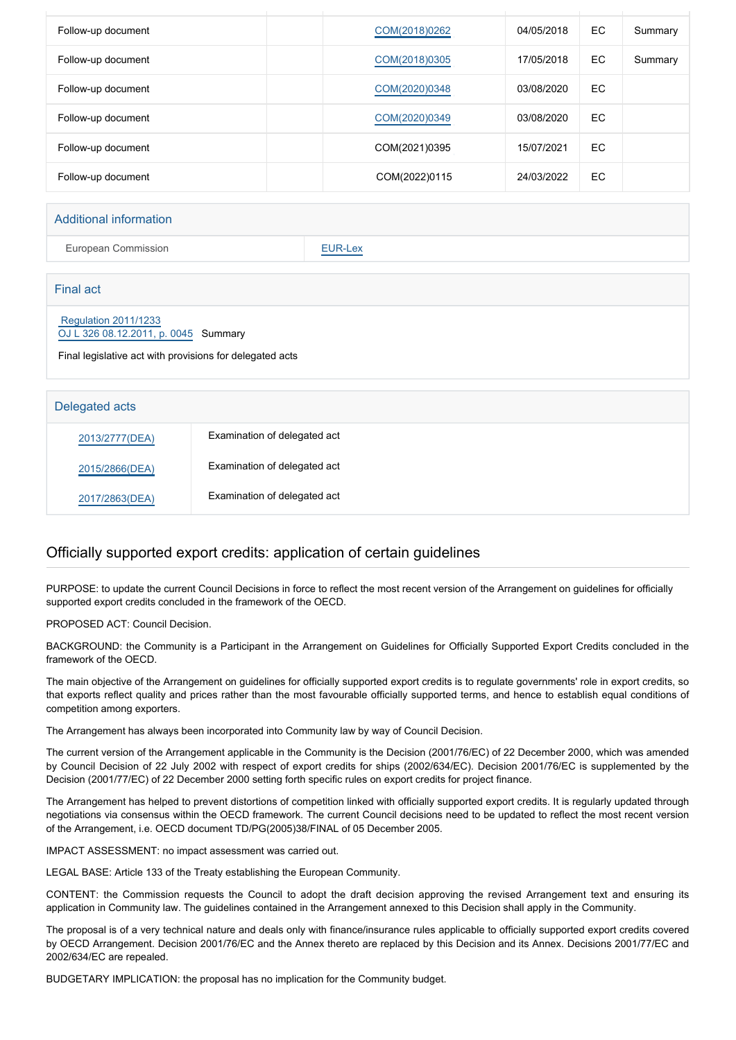| Follow-up document | COM(2018)0262 | 04/05/2018 | <b>EC</b> | Summary |
|--------------------|---------------|------------|-----------|---------|
| Follow-up document | COM(2018)0305 | 17/05/2018 | EC.       | Summary |
| Follow-up document | COM(2020)0348 | 03/08/2020 | EC.       |         |
| Follow-up document | COM(2020)0349 | 03/08/2020 | EC.       |         |
| Follow-up document | COM(2021)0395 | 15/07/2021 | EC.       |         |
| Follow-up document | COM(2022)0115 | 24/03/2022 | EC.       |         |
|                    |               |            |           |         |

#### Additional information

European Commission **[EUR-Lex](http://ec.europa.eu/prelex/liste_resultats.cfm?CL=en&ReqId=0&DocType=COD&DocYear=2006&DocNum=0167)** 

| <b>Final act</b>                                                                                                                |                              |  |
|---------------------------------------------------------------------------------------------------------------------------------|------------------------------|--|
| <b>Regulation 2011/1233</b><br>OJ L 326 08.12.2011, p. 0045 Summary<br>Final legislative act with provisions for delegated acts |                              |  |
|                                                                                                                                 |                              |  |
| Delegated acts                                                                                                                  |                              |  |
| 2013/2777(DEA)                                                                                                                  | Examination of delegated act |  |
| 2015/2866(DEA)                                                                                                                  | Examination of delegated act |  |
| 2017/2863(DEA)                                                                                                                  | Examination of delegated act |  |

## Officially supported export credits: application of certain guidelines

PURPOSE: to update the current Council Decisions in force to reflect the most recent version of the Arrangement on guidelines for officially supported export credits concluded in the framework of the OECD.

PROPOSED ACT: Council Decision.

BACKGROUND: the Community is a Participant in the Arrangement on Guidelines for Officially Supported Export Credits concluded in the framework of the OECD.

The main objective of the Arrangement on guidelines for officially supported export credits is to regulate governments' role in export credits, so that exports reflect quality and prices rather than the most favourable officially supported terms, and hence to establish equal conditions of competition among exporters.

The Arrangement has always been incorporated into Community law by way of Council Decision.

The current version of the Arrangement applicable in the Community is the Decision (2001/76/EC) of 22 December 2000, which was amended by Council Decision of 22 July 2002 with respect of export credits for ships (2002/634/EC). Decision 2001/76/EC is supplemented by the Decision (2001/77/EC) of 22 December 2000 setting forth specific rules on export credits for project finance.

The Arrangement has helped to prevent distortions of competition linked with officially supported export credits. It is regularly updated through negotiations via consensus within the OECD framework. The current Council decisions need to be updated to reflect the most recent version of the Arrangement, i.e. OECD document TD/PG(2005)38/FINAL of 05 December 2005.

IMPACT ASSESSMENT: no impact assessment was carried out.

LEGAL BASE: Article 133 of the Treaty establishing the European Community.

CONTENT: the Commission requests the Council to adopt the draft decision approving the revised Arrangement text and ensuring its application in Community law. The guidelines contained in the Arrangement annexed to this Decision shall apply in the Community.

The proposal is of a very technical nature and deals only with finance/insurance rules applicable to officially supported export credits covered by OECD Arrangement. Decision 2001/76/EC and the Annex thereto are replaced by this Decision and its Annex. Decisions 2001/77/EC and 2002/634/EC are repealed.

BUDGETARY IMPLICATION: the proposal has no implication for the Community budget.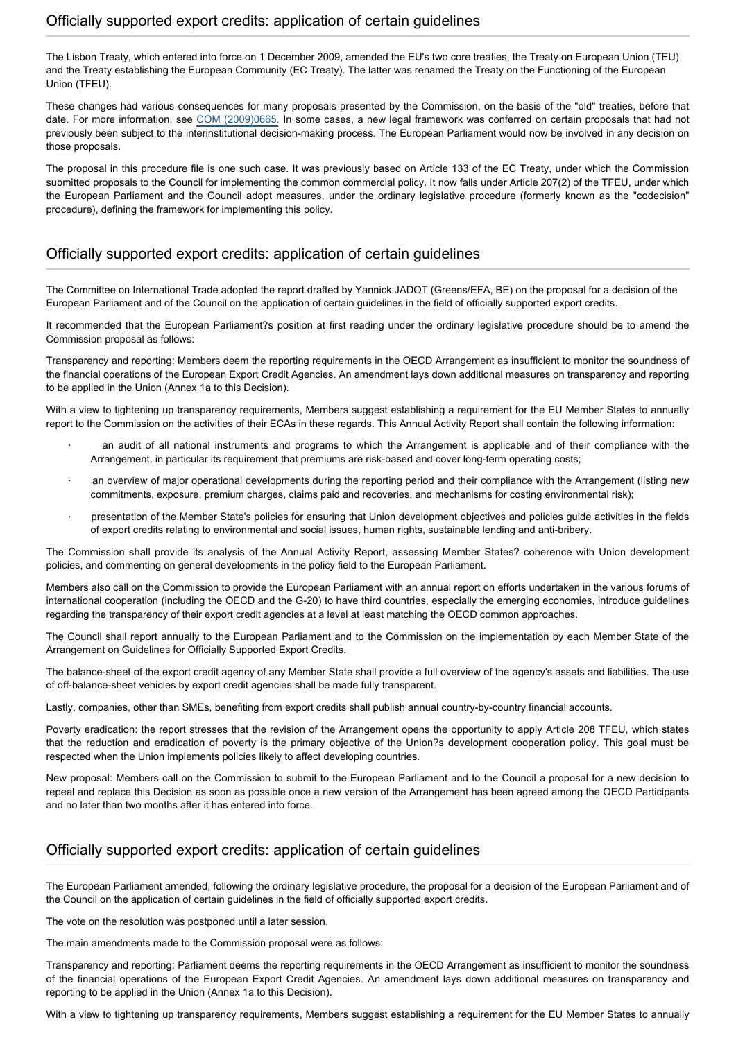The Lisbon Treaty, which entered into force on 1 December 2009, amended the EU's two core treaties, the Treaty on European Union (TEU) and the Treaty establishing the European Community (EC Treaty). The latter was renamed the Treaty on the Functioning of the European Union (TFEU).

These changes had various consequences for many proposals presented by the Commission, on the basis of the "old" treaties, before that date. For more information, see [COM \(2009\)0665.](http://eur-lex.europa.eu/Result.do?T1=V5&T2=2009&T3=0665&RechType=RECH_naturel&Submit=Search) In some cases, a new legal framework was conferred on certain proposals that had not previously been subject to the interinstitutional decision-making process. The European Parliament would now be involved in any decision on those proposals.

The proposal in this procedure file is one such case. It was previously based on Article 133 of the EC Treaty, under which the Commission submitted proposals to the Council for implementing the common commercial policy. It now falls under Article 207(2) of the TFEU, under which the European Parliament and the Council adopt measures, under the ordinary legislative procedure (formerly known as the "codecision" procedure), defining the framework for implementing this policy.

#### Officially supported export credits: application of certain guidelines

The Committee on International Trade adopted the report drafted by Yannick JADOT (Greens/EFA, BE) on the proposal for a decision of the European Parliament and of the Council on the application of certain guidelines in the field of officially supported export credits.

It recommended that the European Parliament?s position at first reading under the ordinary legislative procedure should be to amend the Commission proposal as follows:

Transparency and reporting: Members deem the reporting requirements in the OECD Arrangement as insufficient to monitor the soundness of the financial operations of the European Export Credit Agencies. An amendment lays down additional measures on transparency and reporting to be applied in the Union (Annex 1a to this Decision).

With a view to tightening up transparency requirements, Members suggest establishing a requirement for the EU Member States to annually report to the Commission on the activities of their ECAs in these regards. This Annual Activity Report shall contain the following information:

- an audit of all national instruments and programs to which the Arrangement is applicable and of their compliance with the Arrangement, in particular its requirement that premiums are risk-based and cover long-term operating costs;
- an overview of major operational developments during the reporting period and their compliance with the Arrangement (listing new commitments, exposure, premium charges, claims paid and recoveries, and mechanisms for costing environmental risk);
- presentation of the Member State's policies for ensuring that Union development objectives and policies guide activities in the fields of export credits relating to environmental and social issues, human rights, sustainable lending and anti-bribery.

The Commission shall provide its analysis of the Annual Activity Report, assessing Member States? coherence with Union development policies, and commenting on general developments in the policy field to the European Parliament.

Members also call on the Commission to provide the European Parliament with an annual report on efforts undertaken in the various forums of international cooperation (including the OECD and the G-20) to have third countries, especially the emerging economies, introduce guidelines regarding the transparency of their export credit agencies at a level at least matching the OECD common approaches.

The Council shall report annually to the European Parliament and to the Commission on the implementation by each Member State of the Arrangement on Guidelines for Officially Supported Export Credits.

The balance-sheet of the export credit agency of any Member State shall provide a full overview of the agency's assets and liabilities. The use of off-balance-sheet vehicles by export credit agencies shall be made fully transparent.

Lastly, companies, other than SMEs, benefiting from export credits shall publish annual country-by-country financial accounts.

Poverty eradication: the report stresses that the revision of the Arrangement opens the opportunity to apply Article 208 TFEU, which states that the reduction and eradication of poverty is the primary objective of the Union?s development cooperation policy. This goal must be respected when the Union implements policies likely to affect developing countries.

New proposal: Members call on the Commission to submit to the European Parliament and to the Council a proposal for a new decision to repeal and replace this Decision as soon as possible once a new version of the Arrangement has been agreed among the OECD Participants and no later than two months after it has entered into force.

#### Officially supported export credits: application of certain guidelines

The European Parliament amended, following the ordinary legislative procedure, the proposal for a decision of the European Parliament and of the Council on the application of certain guidelines in the field of officially supported export credits.

The vote on the resolution was postponed until a later session.

The main amendments made to the Commission proposal were as follows:

Transparency and reporting: Parliament deems the reporting requirements in the OECD Arrangement as insufficient to monitor the soundness of the financial operations of the European Export Credit Agencies. An amendment lays down additional measures on transparency and reporting to be applied in the Union (Annex 1a to this Decision).

With a view to tightening up transparency requirements, Members suggest establishing a requirement for the EU Member States to annually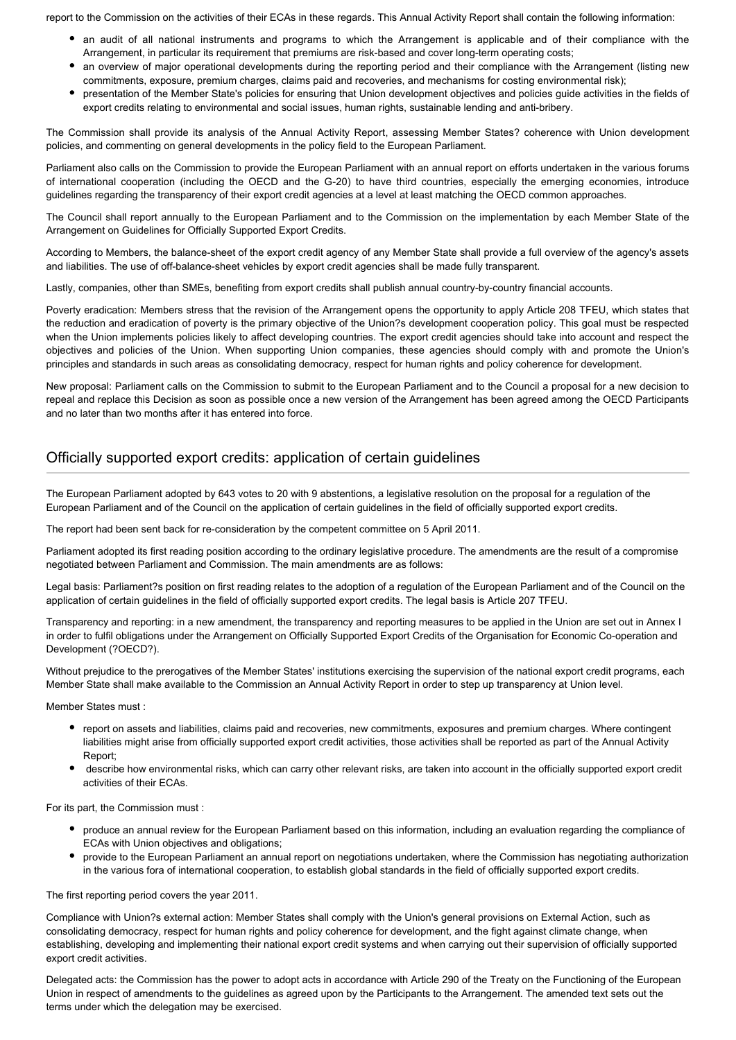report to the Commission on the activities of their ECAs in these regards. This Annual Activity Report shall contain the following information:

- an audit of all national instruments and programs to which the Arrangement is applicable and of their compliance with the Arrangement, in particular its requirement that premiums are risk-based and cover long-term operating costs;
- an overview of major operational developments during the reporting period and their compliance with the Arrangement (listing new commitments, exposure, premium charges, claims paid and recoveries, and mechanisms for costing environmental risk);
- presentation of the Member State's policies for ensuring that Union development objectives and policies guide activities in the fields of export credits relating to environmental and social issues, human rights, sustainable lending and anti-bribery.

The Commission shall provide its analysis of the Annual Activity Report, assessing Member States? coherence with Union development policies, and commenting on general developments in the policy field to the European Parliament.

Parliament also calls on the Commission to provide the European Parliament with an annual report on efforts undertaken in the various forums of international cooperation (including the OECD and the G-20) to have third countries, especially the emerging economies, introduce guidelines regarding the transparency of their export credit agencies at a level at least matching the OECD common approaches.

The Council shall report annually to the European Parliament and to the Commission on the implementation by each Member State of the Arrangement on Guidelines for Officially Supported Export Credits.

According to Members, the balance-sheet of the export credit agency of any Member State shall provide a full overview of the agency's assets and liabilities. The use of off-balance-sheet vehicles by export credit agencies shall be made fully transparent.

Lastly, companies, other than SMEs, benefiting from export credits shall publish annual country-by-country financial accounts.

Poverty eradication: Members stress that the revision of the Arrangement opens the opportunity to apply Article 208 TFEU, which states that the reduction and eradication of poverty is the primary objective of the Union?s development cooperation policy. This goal must be respected when the Union implements policies likely to affect developing countries. The export credit agencies should take into account and respect the objectives and policies of the Union. When supporting Union companies, these agencies should comply with and promote the Union's principles and standards in such areas as consolidating democracy, respect for human rights and policy coherence for development.

New proposal: Parliament calls on the Commission to submit to the European Parliament and to the Council a proposal for a new decision to repeal and replace this Decision as soon as possible once a new version of the Arrangement has been agreed among the OECD Participants and no later than two months after it has entered into force.

# Officially supported export credits: application of certain guidelines

The European Parliament adopted by 643 votes to 20 with 9 abstentions, a legislative resolution on the proposal for a regulation of the European Parliament and of the Council on the application of certain guidelines in the field of officially supported export credits.

The report had been sent back for re-consideration by the competent committee on 5 April 2011.

Parliament adopted its first reading position according to the ordinary legislative procedure. The amendments are the result of a compromise negotiated between Parliament and Commission. The main amendments are as follows:

Legal basis: Parliament?s position on first reading relates to the adoption of a regulation of the European Parliament and of the Council on the application of certain guidelines in the field of officially supported export credits. The legal basis is Article 207 TFEU.

Transparency and reporting: in a new amendment, the transparency and reporting measures to be applied in the Union are set out in Annex I in order to fulfil obligations under the Arrangement on Officially Supported Export Credits of the Organisation for Economic Co-operation and Development (?OECD?).

Without prejudice to the prerogatives of the Member States' institutions exercising the supervision of the national export credit programs, each Member State shall make available to the Commission an Annual Activity Report in order to step up transparency at Union level.

Member States must :

- report on assets and liabilities, claims paid and recoveries, new commitments, exposures and premium charges. Where contingent liabilities might arise from officially supported export credit activities, those activities shall be reported as part of the Annual Activity Report;
- describe how environmental risks, which can carry other relevant risks, are taken into account in the officially supported export credit activities of their ECAs.

For its part, the Commission must :

- produce an annual review for the European Parliament based on this information, including an evaluation regarding the compliance of ECAs with Union objectives and obligations;
- provide to the European Parliament an annual report on negotiations undertaken, where the Commission has negotiating authorization in the various fora of international cooperation, to establish global standards in the field of officially supported export credits.

The first reporting period covers the year 2011.

Compliance with Union?s external action: Member States shall comply with the Union's general provisions on External Action, such as consolidating democracy, respect for human rights and policy coherence for development, and the fight against climate change, when establishing, developing and implementing their national export credit systems and when carrying out their supervision of officially supported export credit activities.

Delegated acts: the Commission has the power to adopt acts in accordance with Article 290 of the Treaty on the Functioning of the European Union in respect of amendments to the guidelines as agreed upon by the Participants to the Arrangement. The amended text sets out the terms under which the delegation may be exercised.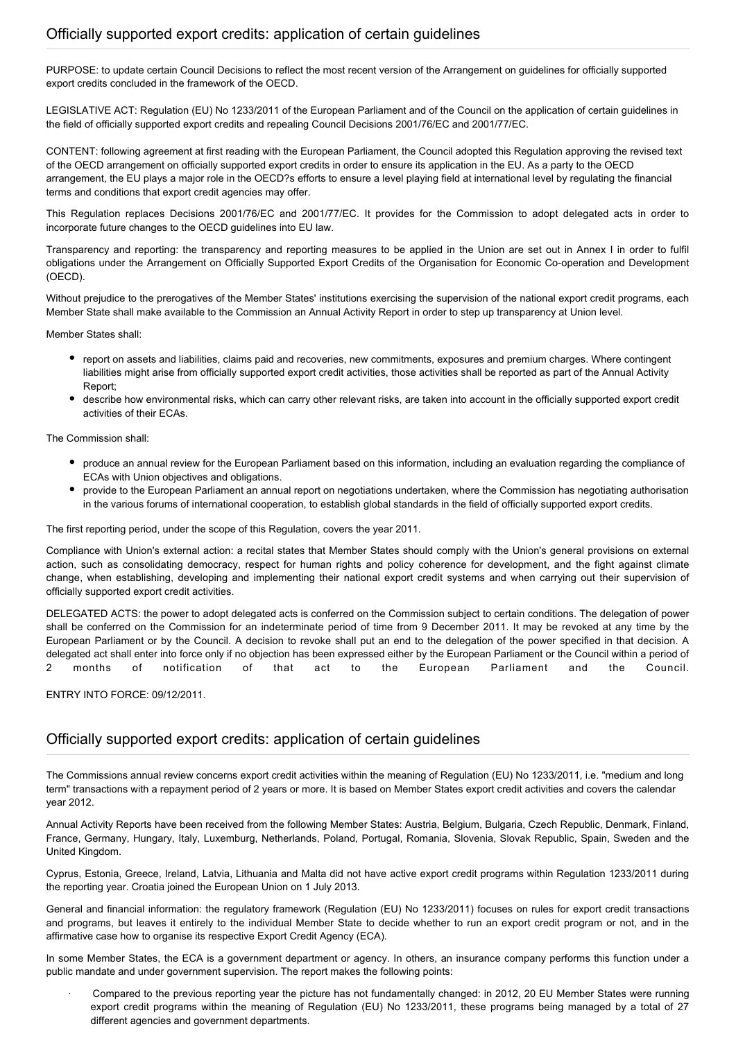PURPOSE: to update certain Council Decisions to reflect the most recent version of the Arrangement on guidelines for officially supported export credits concluded in the framework of the OECD.

LEGISLATIVE ACT: Regulation (EU) No 1233/2011 of the European Parliament and of the Council on the application of certain guidelines in the field of officially supported export credits and repealing Council Decisions 2001/76/EC and 2001/77/EC.

CONTENT: following agreement at first reading with the European Parliament, the Council adopted this Regulation approving the revised text of the OECD arrangement on officially supported export credits in order to ensure its application in the EU. As a party to the OECD arrangement, the EU plays a major role in the OECD?s efforts to ensure a level playing field at international level by regulating the financial terms and conditions that export credit agencies may offer.

This Regulation replaces Decisions 2001/76/EC and 2001/77/EC. It provides for the Commission to adopt delegated acts in order to incorporate future changes to the OECD guidelines into EU law.

Transparency and reporting: the transparency and reporting measures to be applied in the Union are set out in Annex I in order to fulfil obligations under the Arrangement on Officially Supported Export Credits of the Organisation for Economic Co-operation and Development (OECD).

Without prejudice to the prerogatives of the Member States' institutions exercising the supervision of the national export credit programs, each Member State shall make available to the Commission an Annual Activity Report in order to step up transparency at Union level.

Member States shall:

- report on assets and liabilities, claims paid and recoveries, new commitments, exposures and premium charges. Where contingent liabilities might arise from officially supported export credit activities, those activities shall be reported as part of the Annual Activity Report;
- describe how environmental risks, which can carry other relevant risks, are taken into account in the officially supported export credit activities of their ECAs.

The Commission shall:

- produce an annual review for the European Parliament based on this information, including an evaluation regarding the compliance of ECAs with Union objectives and obligations.
- provide to the European Parliament an annual report on negotiations undertaken, where the Commission has negotiating authorisation in the various forums of international cooperation, to establish global standards in the field of officially supported export credits.

The first reporting period, under the scope of this Regulation, covers the year 2011.

Compliance with Union's external action: a recital states that Member States should comply with the Union's general provisions on external action, such as consolidating democracy, respect for human rights and policy coherence for development, and the fight against climate change, when establishing, developing and implementing their national export credit systems and when carrying out their supervision of officially supported export credit activities.

DELEGATED ACTS: the power to adopt delegated acts is conferred on the Commission subject to certain conditions. The delegation of power shall be conferred on the Commission for an indeterminate period of time from 9 December 2011. It may be revoked at any time by the European Parliament or by the Council. A decision to revoke shall put an end to the delegation of the power specified in that decision. A delegated act shall enter into force only if no objection has been expressed either by the European Parliament or the Council within a period of 2 months of notification of that act to the European Parliament and the Council.

ENTRY INTO FORCE: 09/12/2011.

#### Officially supported export credits: application of certain guidelines

The Commissions annual review concerns export credit activities within the meaning of Regulation (EU) No 1233/2011, i.e. "medium and long term" transactions with a repayment period of 2 years or more. It is based on Member States export credit activities and covers the calendar year 2012.

Annual Activity Reports have been received from the following Member States: Austria, Belgium, Bulgaria, Czech Republic, Denmark, Finland, France, Germany, Hungary, Italy, Luxemburg, Netherlands, Poland, Portugal, Romania, Slovenia, Slovak Republic, Spain, Sweden and the United Kingdom.

Cyprus, Estonia, Greece, Ireland, Latvia, Lithuania and Malta did not have active export credit programs within Regulation 1233/2011 during the reporting year. Croatia joined the European Union on 1 July 2013.

General and financial information: the regulatory framework (Regulation (EU) No 1233/2011) focuses on rules for export credit transactions and programs, but leaves it entirely to the individual Member State to decide whether to run an export credit program or not, and in the affirmative case how to organise its respective Export Credit Agency (ECA).

In some Member States, the ECA is a government department or agency. In others, an insurance company performs this function under a public mandate and under government supervision. The report makes the following points:

· Compared to the previous reporting year the picture has not fundamentally changed: in 2012, 20 EU Member States were running export credit programs within the meaning of Regulation (EU) No 1233/2011, these programs being managed by a total of 27 different agencies and government departments.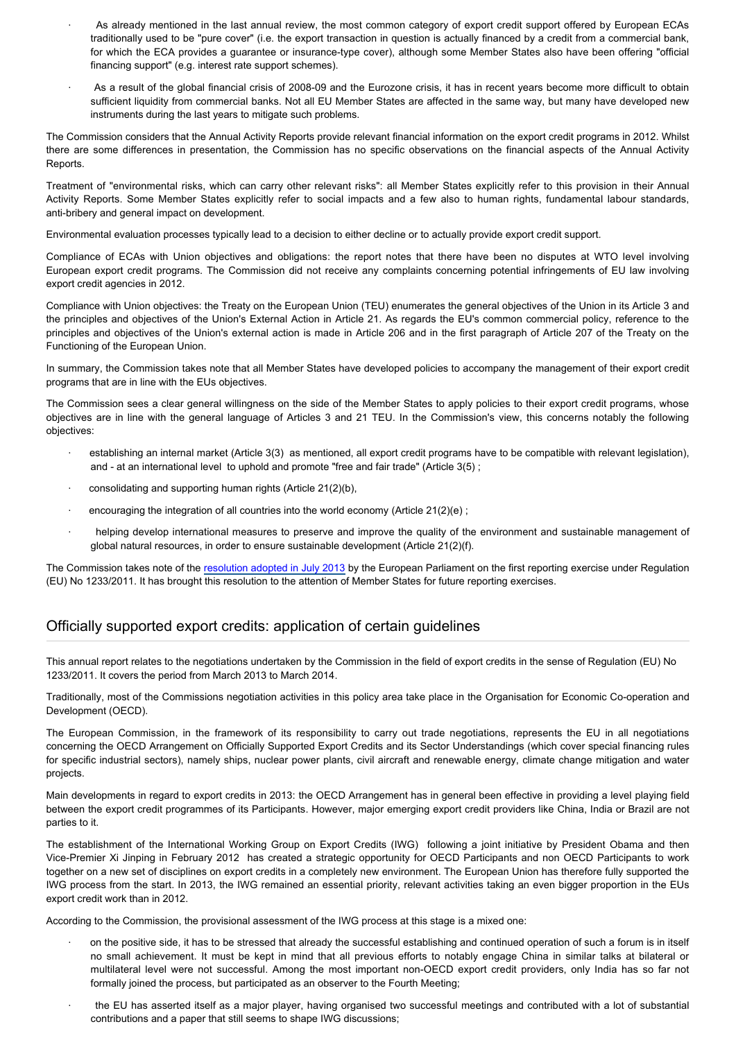- As already mentioned in the last annual review, the most common category of export credit support offered by European ECAs traditionally used to be "pure cover" (i.e. the export transaction in question is actually financed by a credit from a commercial bank, for which the ECA provides a guarantee or insurance-type cover), although some Member States also have been offering "official financing support" (e.g. interest rate support schemes).
- As a result of the global financial crisis of 2008-09 and the Eurozone crisis, it has in recent years become more difficult to obtain sufficient liquidity from commercial banks. Not all EU Member States are affected in the same way, but many have developed new instruments during the last years to mitigate such problems.

The Commission considers that the Annual Activity Reports provide relevant financial information on the export credit programs in 2012. Whilst there are some differences in presentation, the Commission has no specific observations on the financial aspects of the Annual Activity Reports.

Treatment of "environmental risks, which can carry other relevant risks": all Member States explicitly refer to this provision in their Annual Activity Reports. Some Member States explicitly refer to social impacts and a few also to human rights, fundamental labour standards, anti-bribery and general impact on development.

Environmental evaluation processes typically lead to a decision to either decline or to actually provide export credit support.

Compliance of ECAs with Union objectives and obligations: the report notes that there have been no disputes at WTO level involving European export credit programs. The Commission did not receive any complaints concerning potential infringements of EU law involving export credit agencies in 2012.

Compliance with Union objectives: the Treaty on the European Union (TEU) enumerates the general objectives of the Union in its Article 3 and the principles and objectives of the Union's External Action in Article 21. As regards the EU's common commercial policy, reference to the principles and objectives of the Union's external action is made in Article 206 and in the first paragraph of Article 207 of the Treaty on the Functioning of the European Union.

In summary, the Commission takes note that all Member States have developed policies to accompany the management of their export credit programs that are in line with the EUs objectives.

The Commission sees a clear general willingness on the side of the Member States to apply policies to their export credit programs, whose objectives are in line with the general language of Articles 3 and 21 TEU. In the Commission's view, this concerns notably the following objectives:

- establishing an internal market (Article 3(3) as mentioned, all export credit programs have to be compatible with relevant legislation), and - at an international level to uphold and promote "free and fair trade" (Article 3(5) ;
- consolidating and supporting human rights (Article 21(2)(b),
- · encouraging the integration of all countries into the world economy (Article 21(2)(e) ;
- helping develop international measures to preserve and improve the quality of the environment and sustainable management of global natural resources, in order to ensure sustainable development (Article 21(2)(f).

The Commission takes note of the [resolution adopted in July 2013](http://www.europarl.europa.eu/oeil/popups/ficheprocedure.do?lang=en&reference=2012/2320(INI)) by the European Parliament on the first reporting exercise under Regulation (EU) No 1233/2011. It has brought this resolution to the attention of Member States for future reporting exercises.

#### Officially supported export credits: application of certain guidelines

This annual report relates to the negotiations undertaken by the Commission in the field of export credits in the sense of Regulation (EU) No 1233/2011. It covers the period from March 2013 to March 2014.

Traditionally, most of the Commissions negotiation activities in this policy area take place in the Organisation for Economic Co-operation and Development (OECD).

The European Commission, in the framework of its responsibility to carry out trade negotiations, represents the EU in all negotiations concerning the OECD Arrangement on Officially Supported Export Credits and its Sector Understandings (which cover special financing rules for specific industrial sectors), namely ships, nuclear power plants, civil aircraft and renewable energy, climate change mitigation and water projects.

Main developments in regard to export credits in 2013: the OECD Arrangement has in general been effective in providing a level playing field between the export credit programmes of its Participants. However, major emerging export credit providers like China, India or Brazil are not parties to it.

The establishment of the International Working Group on Export Credits (IWG) following a joint initiative by President Obama and then Vice-Premier Xi Jinping in February 2012 has created a strategic opportunity for OECD Participants and non OECD Participants to work together on a new set of disciplines on export credits in a completely new environment. The European Union has therefore fully supported the IWG process from the start. In 2013, the IWG remained an essential priority, relevant activities taking an even bigger proportion in the EUs export credit work than in 2012.

According to the Commission, the provisional assessment of the IWG process at this stage is a mixed one:

- · on the positive side, it has to be stressed that already the successful establishing and continued operation of such a forum is in itself no small achievement. It must be kept in mind that all previous efforts to notably engage China in similar talks at bilateral or multilateral level were not successful. Among the most important non-OECD export credit providers, only India has so far not formally joined the process, but participated as an observer to the Fourth Meeting;
- the EU has asserted itself as a major player, having organised two successful meetings and contributed with a lot of substantial contributions and a paper that still seems to shape IWG discussions;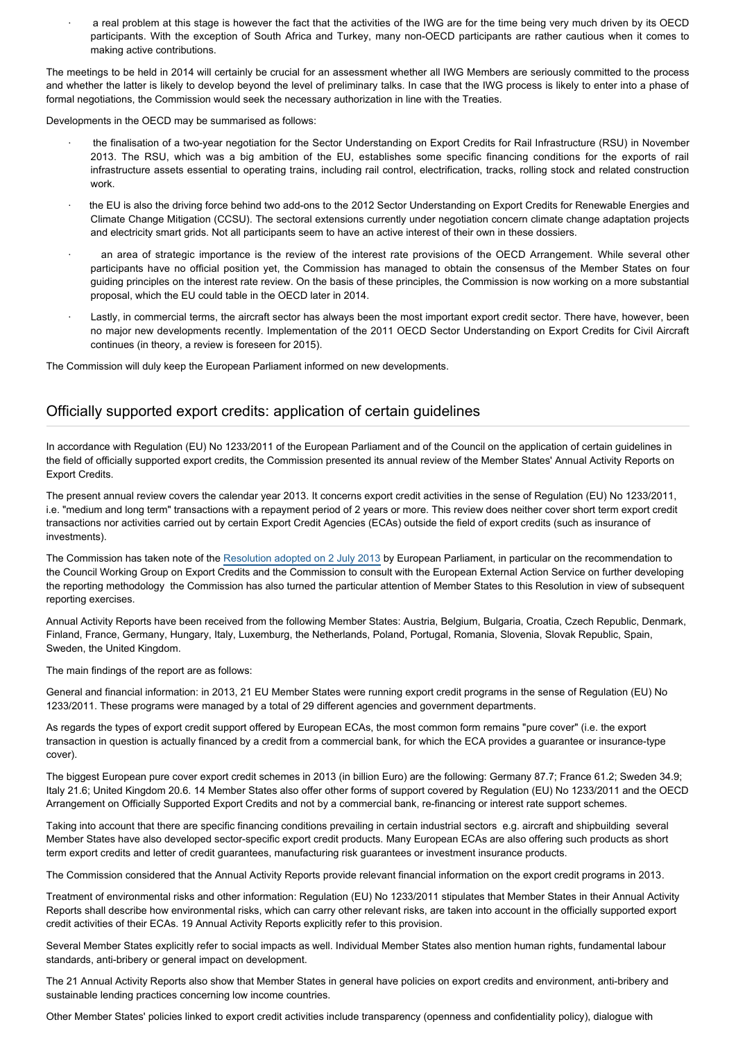a real problem at this stage is however the fact that the activities of the IWG are for the time being very much driven by its OECD participants. With the exception of South Africa and Turkey, many non-OECD participants are rather cautious when it comes to making active contributions.

The meetings to be held in 2014 will certainly be crucial for an assessment whether all IWG Members are seriously committed to the process and whether the latter is likely to develop beyond the level of preliminary talks. In case that the IWG process is likely to enter into a phase of formal negotiations, the Commission would seek the necessary authorization in line with the Treaties.

Developments in the OECD may be summarised as follows:

- · the finalisation of a two-year negotiation for the Sector Understanding on Export Credits for Rail Infrastructure (RSU) in November 2013. The RSU, which was a big ambition of the EU, establishes some specific financing conditions for the exports of rail infrastructure assets essential to operating trains, including rail control, electrification, tracks, rolling stock and related construction work.
- the EU is also the driving force behind two add-ons to the 2012 Sector Understanding on Export Credits for Renewable Energies and Climate Change Mitigation (CCSU). The sectoral extensions currently under negotiation concern climate change adaptation projects and electricity smart grids. Not all participants seem to have an active interest of their own in these dossiers.
- an area of strategic importance is the review of the interest rate provisions of the OECD Arrangement. While several other participants have no official position yet, the Commission has managed to obtain the consensus of the Member States on four guiding principles on the interest rate review. On the basis of these principles, the Commission is now working on a more substantial proposal, which the EU could table in the OECD later in 2014.
- Lastly, in commercial terms, the aircraft sector has always been the most important export credit sector. There have, however, been no major new developments recently. Implementation of the 2011 OECD Sector Understanding on Export Credits for Civil Aircraft continues (in theory, a review is foreseen for 2015).

The Commission will duly keep the European Parliament informed on new developments.

#### Officially supported export credits: application of certain guidelines

In accordance with Regulation (EU) No 1233/2011 of the European Parliament and of the Council on the application of certain guidelines in the field of officially supported export credits, the Commission presented its annual review of the Member States' Annual Activity Reports on Export Credits.

The present annual review covers the calendar year 2013. It concerns export credit activities in the sense of Regulation (EU) No 1233/2011, i.e. "medium and long term" transactions with a repayment period of 2 years or more. This review does neither cover short term export credit transactions nor activities carried out by certain Export Credit Agencies (ECAs) outside the field of export credits (such as insurance of investments).

The Commission has taken note of the [Resolution adopted on 2 July 2013](http://www.europarl.europa.eu/oeil/popups/ficheprocedure.do?lang=en&reference=2012/2320(INI)) by European Parliament, in particular on the recommendation to the Council Working Group on Export Credits and the Commission to consult with the European External Action Service on further developing the reporting methodology the Commission has also turned the particular attention of Member States to this Resolution in view of subsequent reporting exercises.

Annual Activity Reports have been received from the following Member States: Austria, Belgium, Bulgaria, Croatia, Czech Republic, Denmark, Finland, France, Germany, Hungary, Italy, Luxemburg, the Netherlands, Poland, Portugal, Romania, Slovenia, Slovak Republic, Spain, Sweden, the United Kingdom.

The main findings of the report are as follows:

General and financial information: in 2013, 21 EU Member States were running export credit programs in the sense of Regulation (EU) No 1233/2011. These programs were managed by a total of 29 different agencies and government departments.

As regards the types of export credit support offered by European ECAs, the most common form remains "pure cover" (i.e. the export transaction in question is actually financed by a credit from a commercial bank, for which the ECA provides a guarantee or insurance-type cover).

The biggest European pure cover export credit schemes in 2013 (in billion Euro) are the following: Germany 87.7; France 61.2; Sweden 34.9; Italy 21.6; United Kingdom 20.6. 14 Member States also offer other forms of support covered by Regulation (EU) No 1233/2011 and the OECD Arrangement on Officially Supported Export Credits and not by a commercial bank, re-financing or interest rate support schemes.

Taking into account that there are specific financing conditions prevailing in certain industrial sectors e.g. aircraft and shipbuilding several Member States have also developed sector-specific export credit products. Many European ECAs are also offering such products as short term export credits and letter of credit guarantees, manufacturing risk guarantees or investment insurance products.

The Commission considered that the Annual Activity Reports provide relevant financial information on the export credit programs in 2013.

Treatment of environmental risks and other information: Regulation (EU) No 1233/2011 stipulates that Member States in their Annual Activity Reports shall describe how environmental risks, which can carry other relevant risks, are taken into account in the officially supported export credit activities of their ECAs. 19 Annual Activity Reports explicitly refer to this provision.

Several Member States explicitly refer to social impacts as well. Individual Member States also mention human rights, fundamental labour standards, anti-bribery or general impact on development.

The 21 Annual Activity Reports also show that Member States in general have policies on export credits and environment, anti-bribery and sustainable lending practices concerning low income countries.

Other Member States' policies linked to export credit activities include transparency (openness and confidentiality policy), dialogue with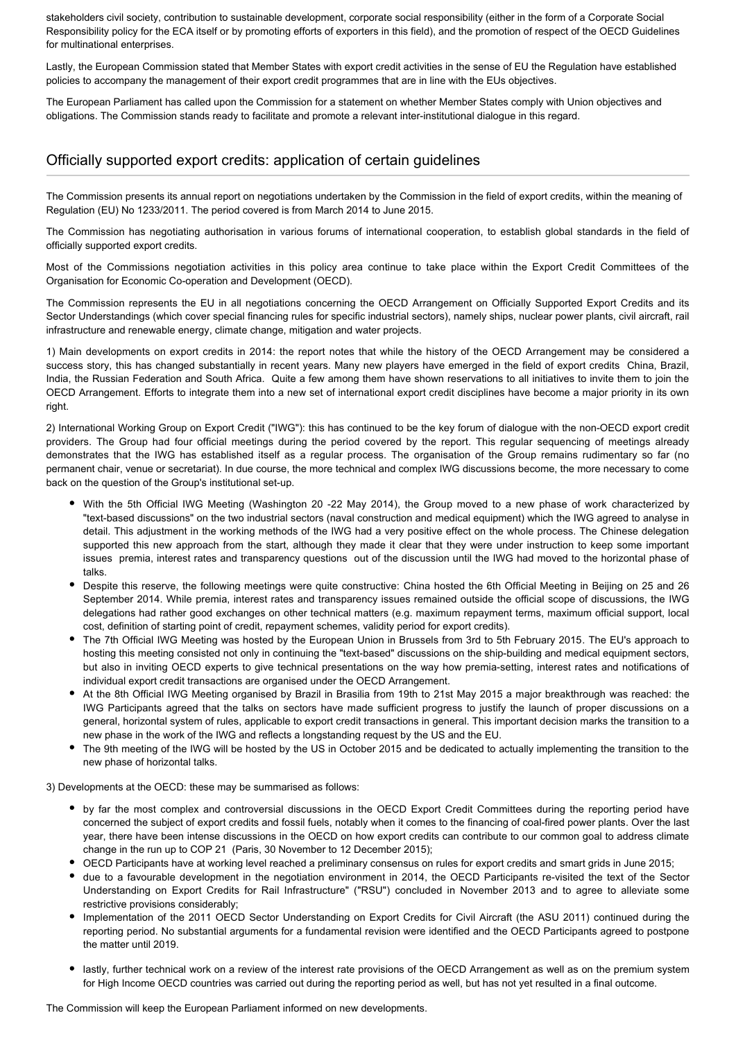stakeholders civil society, contribution to sustainable development, corporate social responsibility (either in the form of a Corporate Social Responsibility policy for the ECA itself or by promoting efforts of exporters in this field), and the promotion of respect of the OECD Guidelines for multinational enterprises.

Lastly, the European Commission stated that Member States with export credit activities in the sense of EU the Regulation have established policies to accompany the management of their export credit programmes that are in line with the EUs objectives.

The European Parliament has called upon the Commission for a statement on whether Member States comply with Union objectives and obligations. The Commission stands ready to facilitate and promote a relevant inter-institutional dialogue in this regard.

#### Officially supported export credits: application of certain guidelines

The Commission presents its annual report on negotiations undertaken by the Commission in the field of export credits, within the meaning of Regulation (EU) No 1233/2011. The period covered is from March 2014 to June 2015.

The Commission has negotiating authorisation in various forums of international cooperation, to establish global standards in the field of officially supported export credits.

Most of the Commissions negotiation activities in this policy area continue to take place within the Export Credit Committees of the Organisation for Economic Co-operation and Development (OECD).

The Commission represents the EU in all negotiations concerning the OECD Arrangement on Officially Supported Export Credits and its Sector Understandings (which cover special financing rules for specific industrial sectors), namely ships, nuclear power plants, civil aircraft, rail infrastructure and renewable energy, climate change, mitigation and water projects.

1) Main developments on export credits in 2014: the report notes that while the history of the OECD Arrangement may be considered a success story, this has changed substantially in recent years. Many new players have emerged in the field of export credits China, Brazil, India, the Russian Federation and South Africa. Quite a few among them have shown reservations to all initiatives to invite them to join the OECD Arrangement. Efforts to integrate them into a new set of international export credit disciplines have become a major priority in its own right.

2) International Working Group on Export Credit ("IWG"): this has continued to be the key forum of dialogue with the non-OECD export credit providers. The Group had four official meetings during the period covered by the report. This regular sequencing of meetings already demonstrates that the IWG has established itself as a regular process. The organisation of the Group remains rudimentary so far (no permanent chair, venue or secretariat). In due course, the more technical and complex IWG discussions become, the more necessary to come back on the question of the Group's institutional set-up.

- With the 5th Official IWG Meeting (Washington 20 -22 May 2014), the Group moved to a new phase of work characterized by "text-based discussions" on the two industrial sectors (naval construction and medical equipment) which the IWG agreed to analyse in detail. This adjustment in the working methods of the IWG had a very positive effect on the whole process. The Chinese delegation supported this new approach from the start, although they made it clear that they were under instruction to keep some important issues premia, interest rates and transparency questions out of the discussion until the IWG had moved to the horizontal phase of talks.
- Despite this reserve, the following meetings were quite constructive: China hosted the 6th Official Meeting in Beijing on 25 and 26 September 2014. While premia, interest rates and transparency issues remained outside the official scope of discussions, the IWG delegations had rather good exchanges on other technical matters (e.g. maximum repayment terms, maximum official support, local cost, definition of starting point of credit, repayment schemes, validity period for export credits).
- The 7th Official IWG Meeting was hosted by the European Union in Brussels from 3rd to 5th February 2015. The EU's approach to hosting this meeting consisted not only in continuing the "text-based" discussions on the ship-building and medical equipment sectors, but also in inviting OECD experts to give technical presentations on the way how premia-setting, interest rates and notifications of individual export credit transactions are organised under the OECD Arrangement.
- At the 8th Official IWG Meeting organised by Brazil in Brasilia from 19th to 21st May 2015 a major breakthrough was reached: the IWG Participants agreed that the talks on sectors have made sufficient progress to justify the launch of proper discussions on a general, horizontal system of rules, applicable to export credit transactions in general. This important decision marks the transition to a new phase in the work of the IWG and reflects a longstanding request by the US and the EU.
- The 9th meeting of the IWG will be hosted by the US in October 2015 and be dedicated to actually implementing the transition to the new phase of horizontal talks.

3) Developments at the OECD: these may be summarised as follows:

- by far the most complex and controversial discussions in the OECD Export Credit Committees during the reporting period have concerned the subject of export credits and fossil fuels, notably when it comes to the financing of coal-fired power plants. Over the last year, there have been intense discussions in the OECD on how export credits can contribute to our common goal to address climate change in the run up to COP 21 (Paris, 30 November to 12 December 2015);
- OECD Participants have at working level reached a preliminary consensus on rules for export credits and smart grids in June 2015;
- due to a favourable development in the negotiation environment in 2014, the OECD Participants re-visited the text of the Sector Understanding on Export Credits for Rail Infrastructure" ("RSU") concluded in November 2013 and to agree to alleviate some restrictive provisions considerably;
- Implementation of the 2011 OECD Sector Understanding on Export Credits for Civil Aircraft (the ASU 2011) continued during the reporting period. No substantial arguments for a fundamental revision were identified and the OECD Participants agreed to postpone the matter until 2019.
- lastly, further technical work on a review of the interest rate provisions of the OECD Arrangement as well as on the premium system for High Income OECD countries was carried out during the reporting period as well, but has not yet resulted in a final outcome.

The Commission will keep the European Parliament informed on new developments.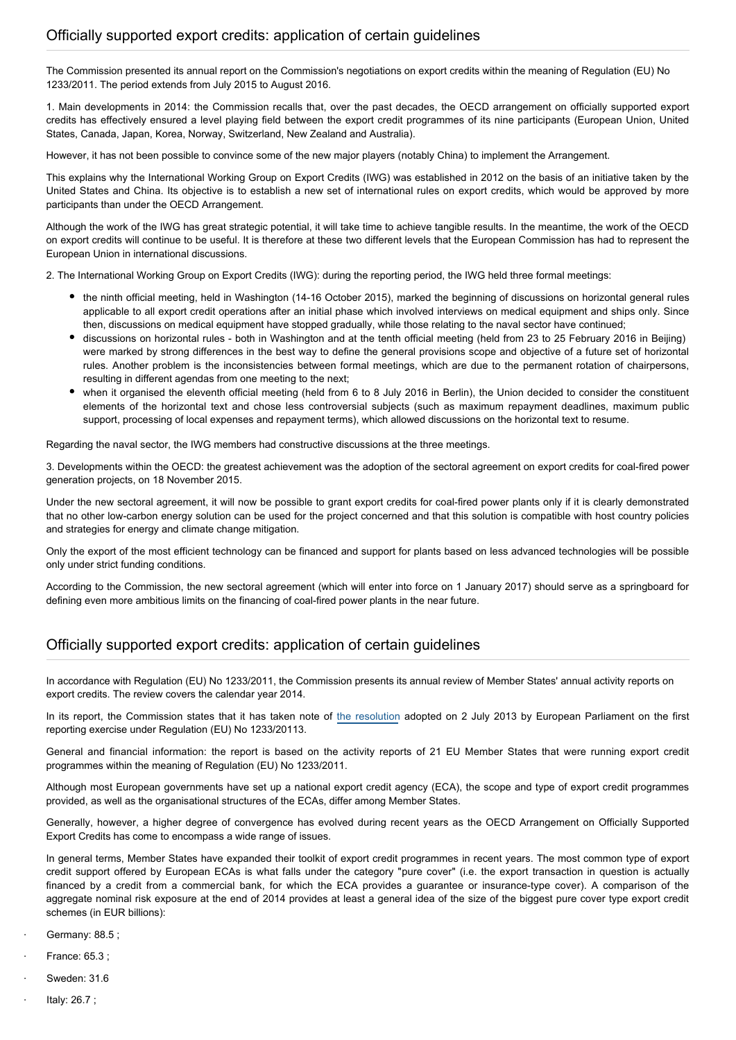The Commission presented its annual report on the Commission's negotiations on export credits within the meaning of Regulation (EU) No 1233/2011. The period extends from July 2015 to August 2016.

1. Main developments in 2014: the Commission recalls that, over the past decades, the OECD arrangement on officially supported export credits has effectively ensured a level playing field between the export credit programmes of its nine participants (European Union, United States, Canada, Japan, Korea, Norway, Switzerland, New Zealand and Australia).

However, it has not been possible to convince some of the new major players (notably China) to implement the Arrangement.

This explains why the International Working Group on Export Credits (IWG) was established in 2012 on the basis of an initiative taken by the United States and China. Its objective is to establish a new set of international rules on export credits, which would be approved by more participants than under the OECD Arrangement.

Although the work of the IWG has great strategic potential, it will take time to achieve tangible results. In the meantime, the work of the OECD on export credits will continue to be useful. It is therefore at these two different levels that the European Commission has had to represent the European Union in international discussions.

2. The International Working Group on Export Credits (IWG): during the reporting period, the IWG held three formal meetings:

- the ninth official meeting, held in Washington (14-16 October 2015), marked the beginning of discussions on horizontal general rules applicable to all export credit operations after an initial phase which involved interviews on medical equipment and ships only. Since then, discussions on medical equipment have stopped gradually, while those relating to the naval sector have continued;
- discussions on horizontal rules both in Washington and at the tenth official meeting (held from 23 to 25 February 2016 in Beijing) were marked by strong differences in the best way to define the general provisions scope and objective of a future set of horizontal rules. Another problem is the inconsistencies between formal meetings, which are due to the permanent rotation of chairpersons, resulting in different agendas from one meeting to the next;
- when it organised the eleventh official meeting (held from 6 to 8 July 2016 in Berlin), the Union decided to consider the constituent elements of the horizontal text and chose less controversial subjects (such as maximum repayment deadlines, maximum public support, processing of local expenses and repayment terms), which allowed discussions on the horizontal text to resume.

Regarding the naval sector, the IWG members had constructive discussions at the three meetings.

3. Developments within the OECD: the greatest achievement was the adoption of the sectoral agreement on export credits for coal-fired power generation projects, on 18 November 2015.

Under the new sectoral agreement, it will now be possible to grant export credits for coal-fired power plants only if it is clearly demonstrated that no other low-carbon energy solution can be used for the project concerned and that this solution is compatible with host country policies and strategies for energy and climate change mitigation.

Only the export of the most efficient technology can be financed and support for plants based on less advanced technologies will be possible only under strict funding conditions.

According to the Commission, the new sectoral agreement (which will enter into force on 1 January 2017) should serve as a springboard for defining even more ambitious limits on the financing of coal-fired power plants in the near future.

## Officially supported export credits: application of certain guidelines

In accordance with Regulation (EU) No 1233/2011, the Commission presents its annual review of Member States' annual activity reports on export credits. The review covers the calendar year 2014.

In its report, the Commission states that it has taken note of [the resolution](http://www.europarl.europa.eu/oeil/popups/ficheprocedure.do?lang=en&reference=2012/2320(INI)) adopted on 2 July 2013 by European Parliament on the first reporting exercise under Regulation (EU) No 1233/20113.

General and financial information: the report is based on the activity reports of 21 EU Member States that were running export credit programmes within the meaning of Regulation (EU) No 1233/2011.

Although most European governments have set up a national export credit agency (ECA), the scope and type of export credit programmes provided, as well as the organisational structures of the ECAs, differ among Member States.

Generally, however, a higher degree of convergence has evolved during recent years as the OECD Arrangement on Officially Supported Export Credits has come to encompass a wide range of issues.

In general terms, Member States have expanded their toolkit of export credit programmes in recent years. The most common type of export credit support offered by European ECAs is what falls under the category "pure cover" (i.e. the export transaction in question is actually financed by a credit from a commercial bank, for which the ECA provides a guarantee or insurance-type cover). A comparison of the aggregate nominal risk exposure at the end of 2014 provides at least a general idea of the size of the biggest pure cover type export credit schemes (in EUR billions):

- · Germany: 88.5 ;
- · France: 65.3 ;
- Sweden: 31.6
- · Italy: 26.7 ;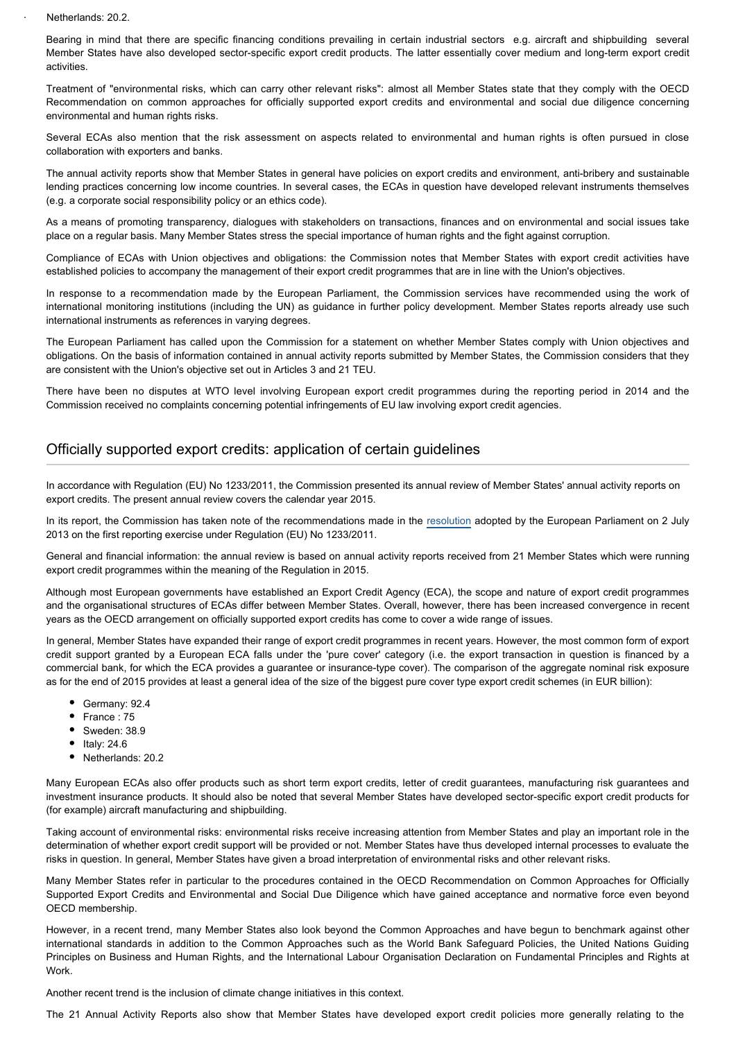Netherlands: 20.2.

Bearing in mind that there are specific financing conditions prevailing in certain industrial sectors e.g. aircraft and shipbuilding several Member States have also developed sector-specific export credit products. The latter essentially cover medium and long-term export credit activities.

Treatment of "environmental risks, which can carry other relevant risks": almost all Member States state that they comply with the OECD Recommendation on common approaches for officially supported export credits and environmental and social due diligence concerning environmental and human rights risks.

Several ECAs also mention that the risk assessment on aspects related to environmental and human rights is often pursued in close collaboration with exporters and banks.

The annual activity reports show that Member States in general have policies on export credits and environment, anti-bribery and sustainable lending practices concerning low income countries. In several cases, the ECAs in question have developed relevant instruments themselves (e.g. a corporate social responsibility policy or an ethics code).

As a means of promoting transparency, dialogues with stakeholders on transactions, finances and on environmental and social issues take place on a regular basis. Many Member States stress the special importance of human rights and the fight against corruption.

Compliance of ECAs with Union objectives and obligations: the Commission notes that Member States with export credit activities have established policies to accompany the management of their export credit programmes that are in line with the Union's objectives.

In response to a recommendation made by the European Parliament, the Commission services have recommended using the work of international monitoring institutions (including the UN) as guidance in further policy development. Member States reports already use such international instruments as references in varying degrees.

The European Parliament has called upon the Commission for a statement on whether Member States comply with Union objectives and obligations. On the basis of information contained in annual activity reports submitted by Member States, the Commission considers that they are consistent with the Union's objective set out in Articles 3 and 21 TEU.

There have been no disputes at WTO level involving European export credit programmes during the reporting period in 2014 and the Commission received no complaints concerning potential infringements of EU law involving export credit agencies.

## Officially supported export credits: application of certain guidelines

In accordance with Regulation (EU) No 1233/2011, the Commission presented its annual review of Member States' annual activity reports on export credits. The present annual review covers the calendar year 2015.

In its report, the Commission has taken note of the recommendations made in the [resolution](http://www.europarl.europa.eu/oeil/popups/ficheprocedure.do?lang=en&reference=2012/2320(INI)) adopted by the European Parliament on 2 July 2013 on the first reporting exercise under Regulation (EU) No 1233/2011.

General and financial information: the annual review is based on annual activity reports received from 21 Member States which were running export credit programmes within the meaning of the Regulation in 2015.

Although most European governments have established an Export Credit Agency (ECA), the scope and nature of export credit programmes and the organisational structures of ECAs differ between Member States. Overall, however, there has been increased convergence in recent years as the OECD arrangement on officially supported export credits has come to cover a wide range of issues.

In general, Member States have expanded their range of export credit programmes in recent years. However, the most common form of export credit support granted by a European ECA falls under the 'pure cover' category (i.e. the export transaction in question is financed by a commercial bank, for which the ECA provides a guarantee or insurance-type cover). The comparison of the aggregate nominal risk exposure as for the end of 2015 provides at least a general idea of the size of the biggest pure cover type export credit schemes (in EUR billion):

- Germany: 92.4
- France: 75
- Sweden: 38.9
- $\bullet$  Italy: 24.6
- Netherlands: 20.2

Many European ECAs also offer products such as short term export credits, letter of credit guarantees, manufacturing risk guarantees and investment insurance products. It should also be noted that several Member States have developed sector-specific export credit products for (for example) aircraft manufacturing and shipbuilding.

Taking account of environmental risks: environmental risks receive increasing attention from Member States and play an important role in the determination of whether export credit support will be provided or not. Member States have thus developed internal processes to evaluate the risks in question. In general, Member States have given a broad interpretation of environmental risks and other relevant risks.

Many Member States refer in particular to the procedures contained in the OECD Recommendation on Common Approaches for Officially Supported Export Credits and Environmental and Social Due Diligence which have gained acceptance and normative force even beyond OECD membership.

However, in a recent trend, many Member States also look beyond the Common Approaches and have begun to benchmark against other international standards in addition to the Common Approaches such as the World Bank Safeguard Policies, the United Nations Guiding Principles on Business and Human Rights, and the International Labour Organisation Declaration on Fundamental Principles and Rights at Work.

Another recent trend is the inclusion of climate change initiatives in this context.

The 21 Annual Activity Reports also show that Member States have developed export credit policies more generally relating to the